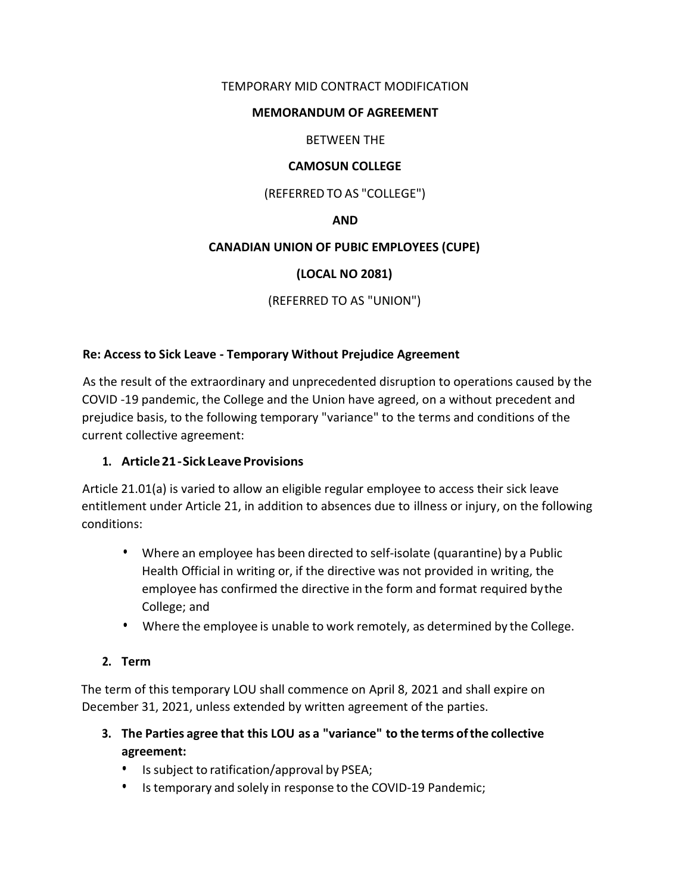## TEMPORARY MID CONTRACT MODIFICATION

#### MEMORANDUM OF AGREEMENT

### BETWEEN THE

#### CAMOSUN COLLEGE

#### (REFERRED TO AS "COLLEGE")

#### AND

#### CANADIAN UNION OF PUBIC EMPLOYEES (CUPE)

### (LOCAL NO 2081)

# (REFERRED TO AS "UNION")

#### Re: Access to Sick Leave - Temporary Without Prejudice Agreement

As the result of the extraordinary and unprecedented disruption to operations caused by the COVID -19 pandemic, the College and the Union have agreed, on a without precedent and prejudice basis, to the following temporary "variance" to the terms and conditions of the current collective agreement:

#### 1. Article 21 - Sick Leave Provisions

Article 21.01(a) is varied to allow an eligible regular employee to access their sick leave entitlement under Article 21, in addition to absences due to illness or injury, on the following conditions:

- Where an employee has been directed to self-isolate (quarantine) by a Public Health Official in writing or, if the directive was not provided in writing, the employee has confirmed the directive in the form and format required by the College; and
- Where the employee is unable to work remotely, as determined by the College.

#### 2. Term

The term of this temporary LOU shall commence on April 8, 2021 and shall expire on December 31, 2021, unless extended by written agreement of the parties.

- 3. The Parties agree that this LOU as a "variance" to the terms of the collective agreement:
	- $\bullet$  . Is subject to ratification/approval by PSEA;
	- Is temporary and solely in response to the COVID-19 Pandemic;